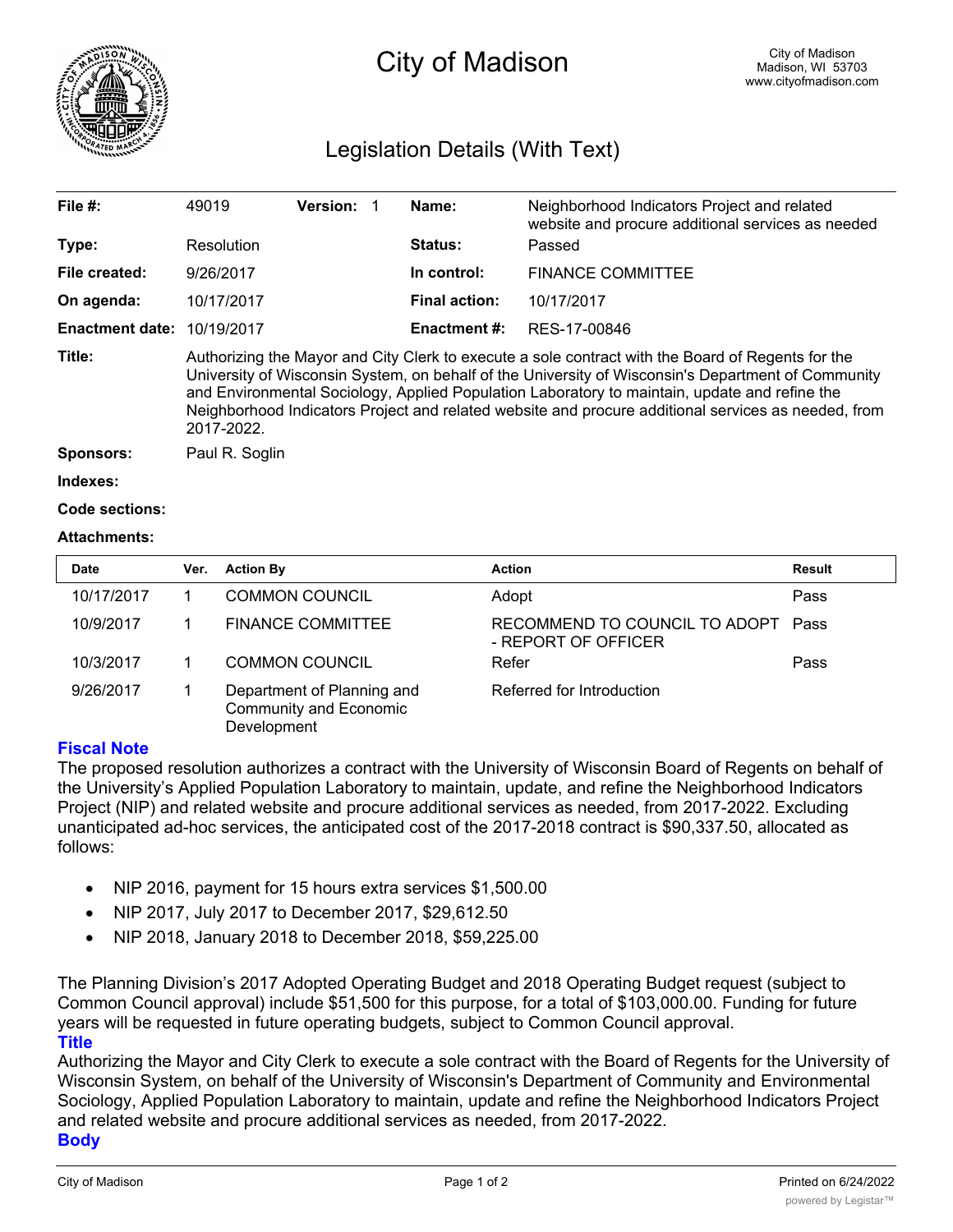

# City of Madison

## Legislation Details (With Text)

| File $#$ :             | 49019                                                                                                                                                                                                                                                                                                                                                                                                                         | <b>Version:</b> |  | Name:                | Neighborhood Indicators Project and related<br>website and procure additional services as needed |  |  |
|------------------------|-------------------------------------------------------------------------------------------------------------------------------------------------------------------------------------------------------------------------------------------------------------------------------------------------------------------------------------------------------------------------------------------------------------------------------|-----------------|--|----------------------|--------------------------------------------------------------------------------------------------|--|--|
| Type:                  | Resolution                                                                                                                                                                                                                                                                                                                                                                                                                    |                 |  | <b>Status:</b>       | Passed                                                                                           |  |  |
| File created:          | 9/26/2017                                                                                                                                                                                                                                                                                                                                                                                                                     |                 |  | In control:          | <b>FINANCE COMMITTEE</b>                                                                         |  |  |
| On agenda:             | 10/17/2017                                                                                                                                                                                                                                                                                                                                                                                                                    |                 |  | <b>Final action:</b> | 10/17/2017                                                                                       |  |  |
| <b>Enactment date:</b> | 10/19/2017                                                                                                                                                                                                                                                                                                                                                                                                                    |                 |  | Enactment #:         | RES-17-00846                                                                                     |  |  |
| Title:                 | Authorizing the Mayor and City Clerk to execute a sole contract with the Board of Regents for the<br>University of Wisconsin System, on behalf of the University of Wisconsin's Department of Community<br>and Environmental Sociology, Applied Population Laboratory to maintain, update and refine the<br>Neighborhood Indicators Project and related website and procure additional services as needed, from<br>2017-2022. |                 |  |                      |                                                                                                  |  |  |
| <b>Sponsors:</b>       | Paul R. Soglin                                                                                                                                                                                                                                                                                                                                                                                                                |                 |  |                      |                                                                                                  |  |  |
| Indexes:               |                                                                                                                                                                                                                                                                                                                                                                                                                               |                 |  |                      |                                                                                                  |  |  |
| Code sections:         |                                                                                                                                                                                                                                                                                                                                                                                                                               |                 |  |                      |                                                                                                  |  |  |

### **Attachments:**

| <b>Date</b> | Ver. | <b>Action By</b>                                                    | <b>Action</b>                                        | <b>Result</b> |
|-------------|------|---------------------------------------------------------------------|------------------------------------------------------|---------------|
| 10/17/2017  |      | <b>COMMON COUNCIL</b>                                               | Adopt                                                | Pass          |
| 10/9/2017   |      | <b>FINANCE COMMITTEE</b>                                            | RECOMMEND TO COUNCIL TO ADOPT<br>- REPORT OF OFFICER | Pass          |
| 10/3/2017   |      | <b>COMMON COUNCIL</b>                                               | Refer                                                | Pass          |
| 9/26/2017   |      | Department of Planning and<br>Community and Economic<br>Development | Referred for Introduction                            |               |

### **Fiscal Note**

The proposed resolution authorizes a contract with the University of Wisconsin Board of Regents on behalf of the University's Applied Population Laboratory to maintain, update, and refine the Neighborhood Indicators Project (NIP) and related website and procure additional services as needed, from 2017-2022. Excluding unanticipated ad-hoc services, the anticipated cost of the 2017-2018 contract is \$90,337.50, allocated as follows:

- · NIP 2016, payment for 15 hours extra services \$1,500.00
- · NIP 2017, July 2017 to December 2017, \$29,612.50
- · NIP 2018, January 2018 to December 2018, \$59,225.00

The Planning Division's 2017 Adopted Operating Budget and 2018 Operating Budget request (subject to Common Council approval) include \$51,500 for this purpose, for a total of \$103,000.00. Funding for future years will be requested in future operating budgets, subject to Common Council approval. **Title**

Authorizing the Mayor and City Clerk to execute a sole contract with the Board of Regents for the University of Wisconsin System, on behalf of the University of Wisconsin's Department of Community and Environmental Sociology, Applied Population Laboratory to maintain, update and refine the Neighborhood Indicators Project and related website and procure additional services as needed, from 2017-2022. **Body**